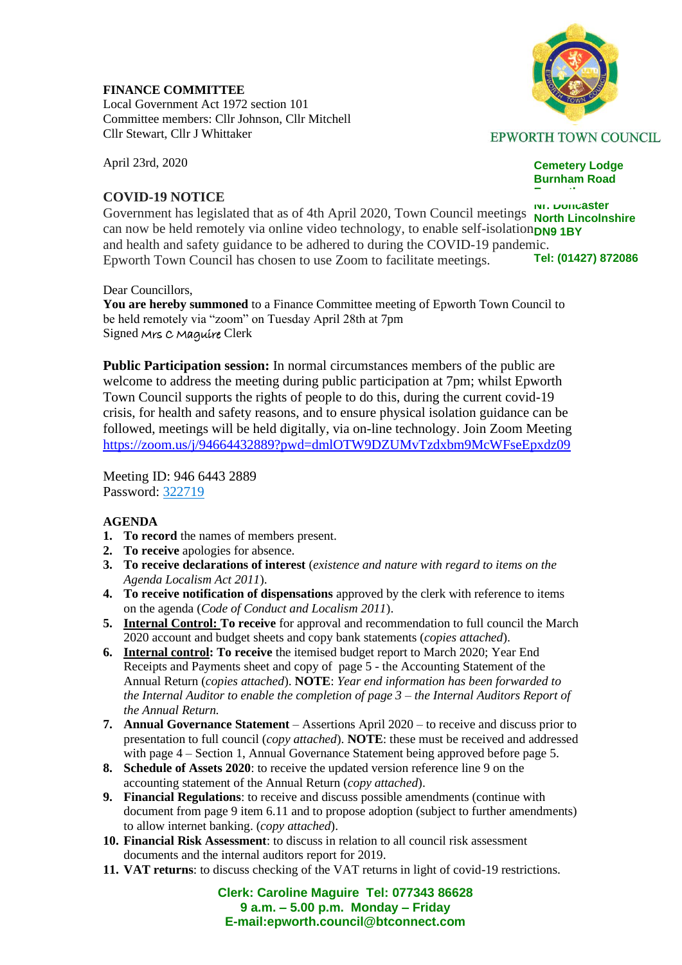**FINANCE COMMITTEE** Local Government Act 1972 section 101 Committee members: Cllr Johnson, Cllr Mitchell

April 23rd, 2020

## **COVID-19 NOTICE**

Cllr Stewart, Cllr J Whittaker

**EPWORTH TOWN COUNCIL** 

**Cemetery Lodge Burnham Road**

**Epworth**

**Nr. Doncaster** Government has legislated that as of 4th April 2020, Town Council meetings **North Lincolnshire** can now be held remotely via online video technology, to enable self-isolation**DN9 1BY Tel: (01427) 872086** and health and safety guidance to be adhered to during the COVID-19 pandemic. Epworth Town Council has chosen to use Zoom to facilitate meetings.

Dear Councillors,

**You are hereby summoned** to a Finance Committee meeting of Epworth Town Council to be held remotely via "zoom" on Tuesday April 28th at 7pm Signed Mrs C Maguire Clerk

**Public Participation session:** In normal circumstances members of the public are welcome to address the meeting during public participation at 7pm; whilst Epworth Town Council supports the rights of people to do this, during the current covid-19 crisis, for health and safety reasons, and to ensure physical isolation guidance can be followed, meetings will be held digitally, via on-line technology. Join Zoom Meeting <https://zoom.us/j/94664432889?pwd=dmlOTW9DZUMvTzdxbm9McWFseEpxdz09>

Meeting ID: 946 6443 2889 Password: [322719](tel:+44322719)

## **AGENDA**

- **1. To record** the names of members present.
- **2. To receive** apologies for absence.
- **3. To receive declarations of interest** (*existence and nature with regard to items on the Agenda Localism Act 2011*).
- **4. To receive notification of dispensations** approved by the clerk with reference to items on the agenda (*Code of Conduct and Localism 2011*).
- **5. Internal Control: To receive** for approval and recommendation to full council the March 2020 account and budget sheets and copy bank statements (*copies attached*).
- **6. Internal control: To receive** the itemised budget report to March 2020; Year End Receipts and Payments sheet and copy of page 5 - the Accounting Statement of the Annual Return (*copies attached*). **NOTE**: *Year end information has been forwarded to the Internal Auditor to enable the completion of page 3 – the Internal Auditors Report of the Annual Return.*
- **7. Annual Governance Statement** Assertions April 2020 to receive and discuss prior to presentation to full council (*copy attached*). **NOTE**: these must be received and addressed with page 4 – Section 1, Annual Governance Statement being approved before page 5.
- **8. Schedule of Assets 2020**: to receive the updated version reference line 9 on the accounting statement of the Annual Return (*copy attached*).
- **9. Financial Regulations**: to receive and discuss possible amendments (continue with document from page 9 item 6.11 and to propose adoption (subject to further amendments) to allow internet banking. (*copy attached*).
- **10. Financial Risk Assessment**: to discuss in relation to all council risk assessment documents and the internal auditors report for 2019.
- **11. VAT returns**: to discuss checking of the VAT returns in light of covid-19 restrictions.

**Clerk: Caroline Maguire Tel: 077343 86628 9 a.m. – 5.00 p.m. Monday – Friday E-mail:epworth.council@btconnect.com**